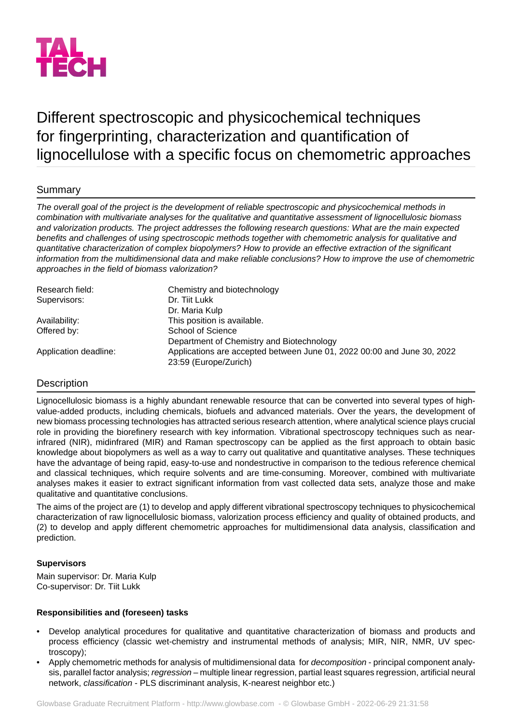

# Different spectroscopic and physicochemical techniques for fingerprinting, characterization and quantification of lignocellulose with a specific focus on chemometric approaches

# Summary

*The overall goal of the project is the development of reliable spectroscopic and physicochemical methods in combination with multivariate analyses for the qualitative and quantitative assessment of lignocellulosic biomass and valorization products. The project addresses the following research questions: What are the main expected benefits and challenges of using spectroscopic methods together with chemometric analysis for qualitative and quantitative characterization of complex biopolymers? How to provide an effective extraction of the significant information from the multidimensional data and make reliable conclusions? How to improve the use of chemometric approaches in the field of biomass valorization?*

| Research field:       | Chemistry and biotechnology                                             |
|-----------------------|-------------------------------------------------------------------------|
| Supervisors:          | Dr. Tijt Lukk                                                           |
|                       | Dr. Maria Kulp                                                          |
| Availability:         | This position is available.                                             |
| Offered by:           | School of Science                                                       |
|                       | Department of Chemistry and Biotechnology                               |
| Application deadline: | Applications are accepted between June 01, 2022 00:00 and June 30, 2022 |
|                       | 23:59 (Europe/Zurich)                                                   |

## **Description**

Lignocellulosic biomass is a highly abundant renewable resource that can be converted into several types of highvalue-added products, including chemicals, biofuels and advanced materials. Over the years, the development of new biomass processing technologies has attracted serious research attention, where analytical science plays crucial role in providing the biorefinery research with key information. Vibrational spectroscopy techniques such as nearinfrared (NIR), midinfrared (MIR) and Raman spectroscopy can be applied as the first approach to obtain basic knowledge about biopolymers as well as a way to carry out qualitative and quantitative analyses. These techniques have the advantage of being rapid, easy-to-use and nondestructive in comparison to the tedious reference chemical and classical techniques, which require solvents and are time-consuming. Moreover, combined with multivariate analyses makes it easier to extract significant information from vast collected data sets, analyze those and make qualitative and quantitative conclusions.

The aims of the project are (1) to develop and apply different vibrational spectroscopy techniques to physicochemical characterization of raw lignocellulosic biomass, valorization process efficiency and quality of obtained products, and (2) to develop and apply different chemometric approaches for multidimensional data analysis, classification and prediction.

## **Supervisors**

Main supervisor: Dr. Maria Kulp Co-supervisor: Dr. Tiit Lukk

## **Responsibilities and (foreseen) tasks**

- Develop analytical procedures for qualitative and quantitative characterization of biomass and products and process efficiency (classic wet-chemistry and instrumental methods of analysis; MIR, NIR, NMR, UV spectroscopy);
- Apply chemometric methods for analysis of multidimensional data for *decomposition* principal component analysis, parallel factor analysis; *regression* – multiple linear regression, partial least squares regression, artificial neural network, *classification* - PLS discriminant analysis, K-nearest neighbor etc.)